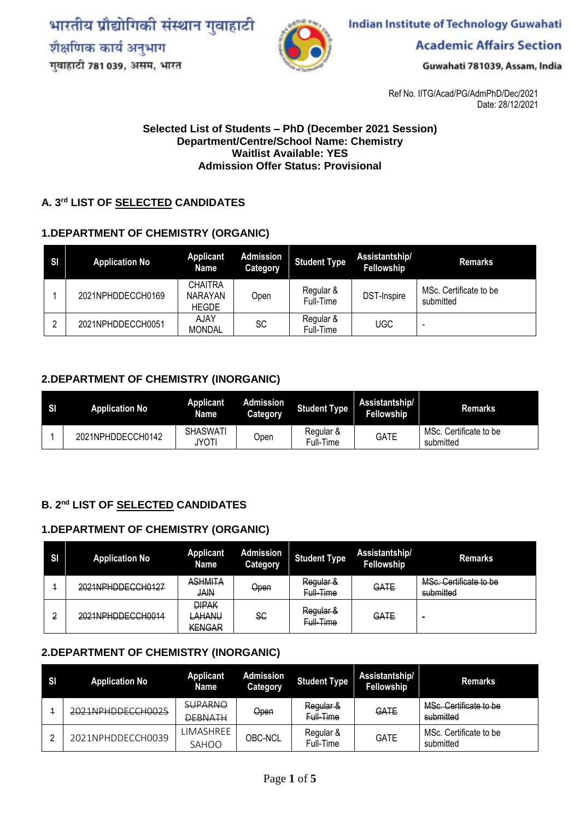भारतीय प्रौद्योगिकी संस्थान गुवाहाटी शैक्षणिक कार्य अनुभाग गुवाहाटी 781 039, असम, भारत



**Indian Institute of Technology Guwahati** 

**Academic Affairs Section** 

Guwahati 781039, Assam, India

Ref No. IITG/Acad/PG/AdmPhD/Dec/2021 Date: 28/12/2021

#### **Selected List of Students – PhD (December 2021 Session) Department/Centre/School Name: Chemistry Waitlist Available: YES Admission Offer Status: Provisional**

#### **A. 3 rd LIST OF SELECTED CANDIDATES**

#### **1.DEPARTMENT OF CHEMISTRY (ORGANIC)**

| -SI | <b>Application No</b> | <b>Applicant</b><br>Name                         | <b>Admission</b><br>Category | <b>Student Type</b>    | Assistantship/<br>Fellowship | <b>Remarks</b>                      |
|-----|-----------------------|--------------------------------------------------|------------------------------|------------------------|------------------------------|-------------------------------------|
|     | 2021NPHDDECCH0169     | <b>CHAITRA</b><br><b>NARAYAN</b><br><b>HEGDE</b> | Open                         | Regular &<br>Full-Time | DST-Inspire                  | MSc. Certificate to be<br>submitted |
|     | 2021NPHDDECCH0051     | AJAY<br><b>MONDAL</b>                            | SC                           | Regular &<br>Full-Time | <b>UGC</b>                   |                                     |

#### **2.DEPARTMENT OF CHEMISTRY (INORGANIC)**

| SI | <b>Application No</b> | <b>Applicant</b><br>Name | Admission<br>Category | <b>Student Type</b>    | Assistantship/<br><b>Fellowship</b> | <b>Remarks</b>                      |
|----|-----------------------|--------------------------|-----------------------|------------------------|-------------------------------------|-------------------------------------|
|    | 2021NPHDDECCH0142     | SHASWATI<br>JYOT'        | Open                  | Regular &<br>Full-Time | GATE                                | MSc. Certificate to be<br>submitted |

#### **B. 2 nd LIST OF SELECTED CANDIDATES**

#### **1.DEPARTMENT OF CHEMISTRY (ORGANIC)**

| <b>SI</b> | <b>Application No</b>                                    | <b>Applicant</b><br>Name                | <b>Admission</b><br>Category | <b>Student Type</b>                   | Assistantship/<br>Fellowship | <b>Remarks</b>                      |
|-----------|----------------------------------------------------------|-----------------------------------------|------------------------------|---------------------------------------|------------------------------|-------------------------------------|
|           | 2021NPHDDECCH0127                                        | <b>ASHMITA</b><br><b>JAIN</b>           | Open                         | Regular &<br>Full-Time                | GATE                         | MSc. Certificate to be<br>submitted |
|           | $2021$ NPHDDECCH0014<br><del>202111111101266110014</del> | <b>DIPAK</b><br>LAHANU<br><b>KENGAR</b> | SC                           | <del>Regular &amp;</del><br>Full-Time | GATE                         | $\sim$                              |

#### **2.DEPARTMENT OF CHEMISTRY (INORGANIC)**

| SI | <b>Application No</b> | <b>Applicant</b><br>Name         | <b>Admission</b><br><b>Category</b> | <b>Student Type</b>    | Assistantship/<br>Fellowship | <b>Remarks</b>                      |
|----|-----------------------|----------------------------------|-------------------------------------|------------------------|------------------------------|-------------------------------------|
|    | 2021NPHDDECCH0025     | <b>SUPARNO</b><br><b>DEBNATH</b> | Open                                | Regular &<br>Full-Time | GATE                         | MSc. Certificate to be<br>submitted |
|    | 2021NPHDDECCH0039     | LIMASHREE<br>SAHOO               | OBC-NCL                             | Regular &<br>Full-Time | <b>GATE</b>                  | MSc. Certificate to be<br>submitted |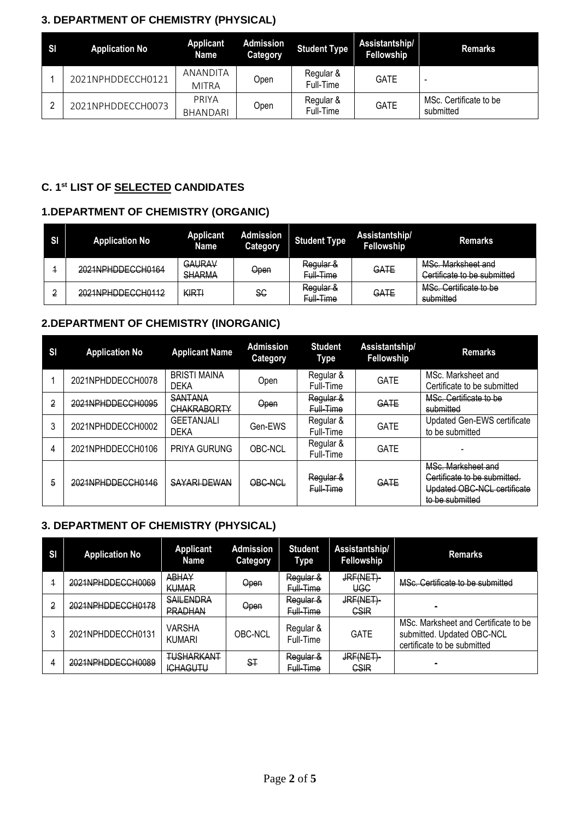## **3. DEPARTMENT OF CHEMISTRY (PHYSICAL)**

| -SI | <b>Application No</b> | Applicant<br>Name               | <b>Admission</b><br>Category | <b>Student Type</b>    | Assistantship/<br>Fellowship | <b>Remarks</b>                      |
|-----|-----------------------|---------------------------------|------------------------------|------------------------|------------------------------|-------------------------------------|
|     | 2021NPHDDFCCH0121     | <b>ANANDITA</b><br><b>MITRA</b> | Open                         | Regular &<br>Full-Time | <b>GATE</b>                  |                                     |
|     | 2021NPHDDECCH0073     | PRIYA<br><b>BHANDARI</b>        | Open                         | Regular &<br>Full-Time | <b>GATE</b>                  | MSc. Certificate to be<br>submitted |

## **C. 1st LIST OF SELECTED CANDIDATES**

## **1.DEPARTMENT OF CHEMISTRY (ORGANIC)**

| SI | <b>Application No</b> | <b>Applicant</b><br><b>Name</b> | <b>Admission</b><br><b>Category</b> | <b>Student Type</b>    | Assistantship/<br>Fellowship | <b>Remarks</b>                                    |
|----|-----------------------|---------------------------------|-------------------------------------|------------------------|------------------------------|---------------------------------------------------|
|    | 2021NPHDDECCH0164     | GAURAV<br><b>SHARMA</b>         | Open                                | Regular &<br>Full-Time | GATE                         | MSc. Marksheet and<br>Certificate to be submitted |
|    | 2021NPHDDECCH0112     | KIRTI                           | SC                                  | Regular &<br>Full-Time | GATE                         | MSc. Certificate to be<br>submitted               |

## **2.DEPARTMENT OF CHEMISTRY (INORGANIC)**

| <b>SI</b> | <b>Application No</b> | <b>Applicant Name</b>                | <b>Admission</b><br><b>Category</b> | <b>Student</b><br><b>Type</b> | Assistantship/<br>Fellowship | <b>Remarks</b>                                                                                       |
|-----------|-----------------------|--------------------------------------|-------------------------------------|-------------------------------|------------------------------|------------------------------------------------------------------------------------------------------|
|           | 2021NPHDDECCH0078     | <b>BRISTI MAINA</b><br><b>DEKA</b>   | Open                                | Regular &<br>Full-Time        | <b>GATE</b>                  | MSc. Marksheet and<br>Certificate to be submitted                                                    |
| 2         | 2021NPHDDECCH0095     | <b>SANTANA</b><br><b>CHAKRABORTY</b> | Open                                | Regular &<br>Full-Time        | GATE                         | MSc. Certificate to be<br>submitted                                                                  |
| 3         | 2021NPHDDECCH0002     | <b>GEETANJALI</b><br><b>DEKA</b>     | Gen-EWS                             | Regular &<br>Full-Time        | <b>GATE</b>                  | Updated Gen-EWS certificate<br>to be submitted                                                       |
| 4         | 2021NPHDDECCH0106     | <b>PRIYA GURUNG</b>                  | OBC-NCL                             | Regular &<br>Full-Time        | <b>GATE</b>                  |                                                                                                      |
| 5         | 2021NPHDDECCH0146     | SAYARI DEWAN                         | OBC-NCL                             | Regular &<br>Full-Time        | GATE                         | MSc. Marksheet and<br>Certificate to be submitted.<br>Updated OBC-NCL certificate<br>to be submitted |

## **3. DEPARTMENT OF CHEMISTRY (PHYSICAL)**

| <b>SI</b> | <b>Application No</b> | <b>Applicant</b><br><b>Name</b>      | <b>Admission</b><br>Category | <b>Student</b><br>Type            | Assistantship/<br>Fellowship | <b>Remarks</b>                                                                                    |
|-----------|-----------------------|--------------------------------------|------------------------------|-----------------------------------|------------------------------|---------------------------------------------------------------------------------------------------|
|           | 2021NPHDDECCH0069     | <b>ABHAY</b><br><b>KUMAR</b>         | Open                         | Regular &<br>Full-Time            | JRF(NET)<br><b>UGC</b>       | MSc. Certificate to be submitted                                                                  |
| 2         | 2021NPHDDECCH0178     | <b>SAILENDRA</b><br><b>PRADHAN</b>   | Open                         | Regular &<br><del>Full-Time</del> | JRF(NET)<br><b>CSIR</b>      |                                                                                                   |
|           | 2021NPHDDECCH0131     | <b>VARSHA</b><br><b>KUMARI</b>       | OBC-NCL                      | Regular &<br>Full-Time            | <b>GATE</b>                  | MSc. Marksheet and Certificate to be<br>submitted. Updated OBC-NCL<br>certificate to be submitted |
| 4         | 2021NPHDDECCH0089     | <b>TUSHARKANT</b><br><b>ICHAGUTU</b> | ST                           | Regular &<br>Full-Time            | JRF(NET)<br>CSIR             |                                                                                                   |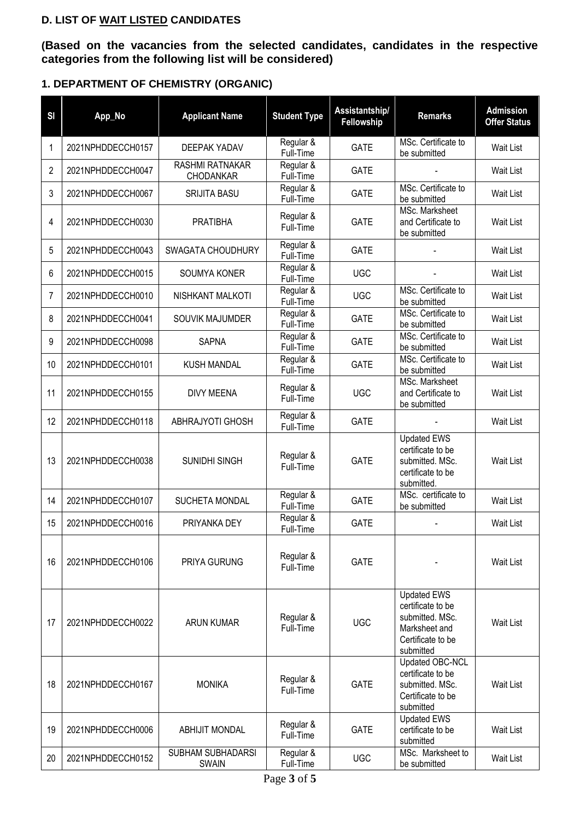#### **D. LIST OF WAIT LISTED CANDIDATES**

**(Based on the vacancies from the selected candidates, candidates in the respective categories from the following list will be considered)**

## **1. DEPARTMENT OF CHEMISTRY (ORGANIC)**

| SI | App_No            | <b>Applicant Name</b>                    | <b>Student Type</b>    | Assistantship/<br>Fellowship | <b>Remarks</b>                                                                                                | <b>Admission</b><br><b>Offer Status</b> |
|----|-------------------|------------------------------------------|------------------------|------------------------------|---------------------------------------------------------------------------------------------------------------|-----------------------------------------|
| 1  | 2021NPHDDECCH0157 | <b>DEEPAK YADAV</b>                      | Regular &<br>Full-Time | <b>GATE</b>                  | MSc. Certificate to<br>be submitted                                                                           | <b>Wait List</b>                        |
| 2  | 2021NPHDDECCH0047 | RASHMI RATNAKAR<br>CHODANKAR             | Regular &<br>Full-Time | <b>GATE</b>                  |                                                                                                               | <b>Wait List</b>                        |
| 3  | 2021NPHDDECCH0067 | <b>SRIJITA BASU</b>                      | Regular &<br>Full-Time | <b>GATE</b>                  | MSc. Certificate to<br>be submitted                                                                           | <b>Wait List</b>                        |
| 4  | 2021NPHDDECCH0030 | <b>PRATIBHA</b>                          | Regular &<br>Full-Time | <b>GATE</b>                  | MSc. Marksheet<br>and Certificate to<br>be submitted                                                          | <b>Wait List</b>                        |
| 5  | 2021NPHDDECCH0043 | SWAGATA CHOUDHURY                        | Regular &<br>Full-Time | <b>GATE</b>                  |                                                                                                               | <b>Wait List</b>                        |
| 6  | 2021NPHDDECCH0015 | SOUMYA KONER                             | Regular &<br>Full-Time | <b>UGC</b>                   |                                                                                                               | <b>Wait List</b>                        |
| 7  | 2021NPHDDECCH0010 | NISHKANT MALKOTI                         | Regular &<br>Full-Time | <b>UGC</b>                   | MSc. Certificate to<br>be submitted                                                                           | <b>Wait List</b>                        |
| 8  | 2021NPHDDECCH0041 | SOUVIK MAJUMDER                          | Regular &<br>Full-Time | <b>GATE</b>                  | MSc. Certificate to<br>be submitted                                                                           | <b>Wait List</b>                        |
| 9  | 2021NPHDDECCH0098 | <b>SAPNA</b>                             | Regular &<br>Full-Time | <b>GATE</b>                  | MSc. Certificate to<br>be submitted                                                                           | Wait List                               |
| 10 | 2021NPHDDECCH0101 | <b>KUSH MANDAL</b>                       | Regular &<br>Full-Time | <b>GATE</b>                  | MSc. Certificate to<br>be submitted                                                                           | <b>Wait List</b>                        |
| 11 | 2021NPHDDECCH0155 | <b>DIVY MEENA</b>                        | Regular &<br>Full-Time | <b>UGC</b>                   | MSc. Marksheet<br>and Certificate to<br>be submitted                                                          | Wait List                               |
| 12 | 2021NPHDDECCH0118 | ABHRAJYOTI GHOSH                         | Regular &<br>Full-Time | <b>GATE</b>                  |                                                                                                               | Wait List                               |
| 13 | 2021NPHDDECCH0038 | SUNIDHI SINGH                            | Regular &<br>Full-Time | <b>GATE</b>                  | <b>Updated EWS</b><br>certificate to be<br>submitted. MSc.<br>certificate to be<br>submitted.                 | <b>Wait List</b>                        |
| 14 | 2021NPHDDECCH0107 | SUCHETA MONDAL                           | Regular &<br>Full-Time | <b>GATE</b>                  | MSc. certificate to<br>be submitted                                                                           | <b>Wait List</b>                        |
| 15 | 2021NPHDDECCH0016 | PRIYANKA DEY                             | Regular &<br>Full-Time | <b>GATE</b>                  |                                                                                                               | Wait List                               |
| 16 | 2021NPHDDECCH0106 | PRIYA GURUNG                             | Regular &<br>Full-Time | <b>GATE</b>                  |                                                                                                               | <b>Wait List</b>                        |
| 17 | 2021NPHDDECCH0022 | <b>ARUN KUMAR</b>                        | Regular &<br>Full-Time | <b>UGC</b>                   | <b>Updated EWS</b><br>certificate to be<br>submitted. MSc.<br>Marksheet and<br>Certificate to be<br>submitted | <b>Wait List</b>                        |
| 18 | 2021NPHDDECCH0167 | <b>MONIKA</b>                            | Regular &<br>Full-Time | <b>GATE</b>                  | Updated OBC-NCL<br>certificate to be<br>submitted. MSc.<br>Certificate to be<br>submitted                     | <b>Wait List</b>                        |
| 19 | 2021NPHDDECCH0006 | <b>ABHIJIT MONDAL</b>                    | Regular &<br>Full-Time | <b>GATE</b>                  | <b>Updated EWS</b><br>certificate to be<br>submitted                                                          | <b>Wait List</b>                        |
| 20 | 2021NPHDDECCH0152 | <b>SUBHAM SUBHADARSI</b><br><b>SWAIN</b> | Regular &<br>Full-Time | <b>UGC</b>                   | MSc. Marksheet to<br>be submitted                                                                             | <b>Wait List</b>                        |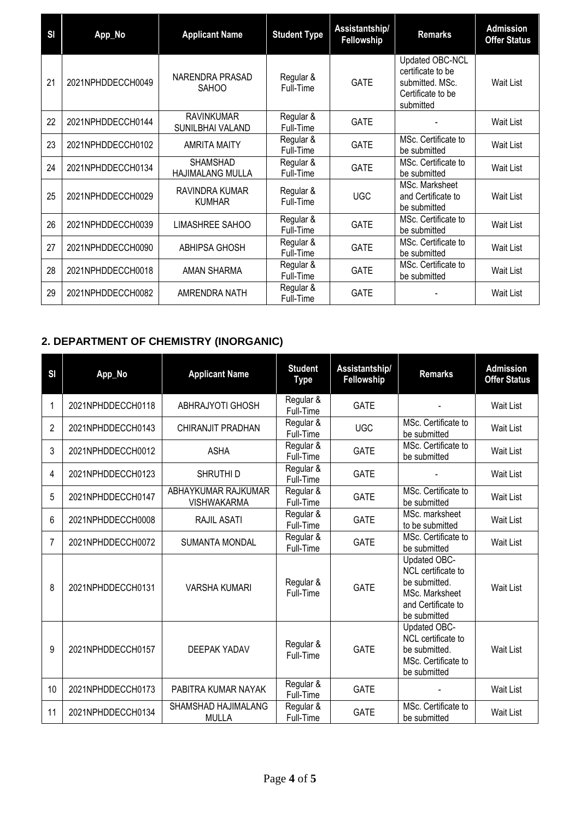| <b>SI</b> | App_No            | <b>Applicant Name</b>                 | <b>Student Type</b>    | Assistantship/<br><b>Fellowship</b> | <b>Remarks</b>                                                                            | <b>Admission</b><br><b>Offer Status</b> |
|-----------|-------------------|---------------------------------------|------------------------|-------------------------------------|-------------------------------------------------------------------------------------------|-----------------------------------------|
| 21        | 2021NPHDDECCH0049 | NARENDRA PRASAD<br><b>SAHOO</b>       | Regular &<br>Full-Time | <b>GATE</b>                         | Updated OBC-NCL<br>certificate to be<br>submitted. MSc.<br>Certificate to be<br>submitted | Wait List                               |
| 22        | 2021NPHDDECCH0144 | <b>RAVINKUMAR</b><br>SUNILBHAI VALAND | Regular &<br>Full-Time | <b>GATE</b>                         |                                                                                           | Wait List                               |
| 23        | 2021NPHDDECCH0102 | <b>AMRITA MAITY</b>                   | Regular &<br>Full-Time | <b>GATE</b>                         | MSc. Certificate to<br>be submitted                                                       | Wait List                               |
| 24        | 2021NPHDDECCH0134 | SHAMSHAD<br><b>HAJIMALANG MULLA</b>   | Regular &<br>Full-Time | <b>GATE</b>                         | MSc. Certificate to<br>be submitted                                                       | Wait List                               |
| 25        | 2021NPHDDECCH0029 | RAVINDRA KUMAR<br><b>KUMHAR</b>       | Regular &<br>Full-Time | <b>UGC</b>                          | MSc. Marksheet<br>and Certificate to<br>be submitted                                      | <b>Wait List</b>                        |
| 26        | 2021NPHDDECCH0039 | LIMASHREE SAHOO                       | Regular &<br>Full-Time | <b>GATE</b>                         | MSc. Certificate to<br>be submitted                                                       | Wait List                               |
| 27        | 2021NPHDDECCH0090 | <b>ABHIPSA GHOSH</b>                  | Regular &<br>Full-Time | <b>GATE</b>                         | MSc. Certificate to<br>be submitted                                                       | Wait List                               |
| 28        | 2021NPHDDECCH0018 | <b>AMAN SHARMA</b>                    | Regular &<br>Full-Time | <b>GATE</b>                         | MSc. Certificate to<br>be submitted                                                       | Wait List                               |
| 29        | 2021NPHDDECCH0082 | AMRENDRA NATH                         | Regular &<br>Full-Time | <b>GATE</b>                         |                                                                                           | Wait List                               |

# **2. DEPARTMENT OF CHEMISTRY (INORGANIC)**

| <b>SI</b> | App_No            | <b>Applicant Name</b>                     | <b>Student</b><br><b>Type</b> | Assistantship/<br>Fellowship | <b>Remarks</b>                                                                                              | <b>Admission</b><br><b>Offer Status</b> |
|-----------|-------------------|-------------------------------------------|-------------------------------|------------------------------|-------------------------------------------------------------------------------------------------------------|-----------------------------------------|
| 1         | 2021NPHDDECCH0118 | ABHRAJYOTI GHOSH                          | Regular &<br>Full-Time        | <b>GATE</b>                  |                                                                                                             | <b>Wait List</b>                        |
| 2         | 2021NPHDDECCH0143 | CHIRANJIT PRADHAN                         | Regular &<br>Full-Time        | <b>UGC</b>                   | MSc. Certificate to<br>be submitted                                                                         | Wait List                               |
| 3         | 2021NPHDDECCH0012 | <b>ASHA</b>                               | Regular &<br>Full-Time        | <b>GATE</b>                  | MSc. Certificate to<br>be submitted                                                                         | Wait List                               |
| 4         | 2021NPHDDECCH0123 | SHRUTHI D                                 | Regular &<br>Full-Time        | <b>GATE</b>                  |                                                                                                             | <b>Wait List</b>                        |
| 5         | 2021NPHDDECCH0147 | ABHAYKUMAR RAJKUMAR<br><b>VISHWAKARMA</b> | Regular &<br>Full-Time        | <b>GATE</b>                  | MSc. Certificate to<br>be submitted                                                                         | Wait List                               |
| 6         | 2021NPHDDECCH0008 | RAJIL ASATI                               | Regular &<br>Full-Time        | <b>GATE</b>                  | MSc. marksheet<br>to be submitted                                                                           | <b>Wait List</b>                        |
| 7         | 2021NPHDDECCH0072 | <b>SUMANTA MONDAL</b>                     | Regular &<br>Full-Time        | <b>GATE</b>                  | MSc. Certificate to<br>be submitted                                                                         | Wait List                               |
| 8         | 2021NPHDDECCH0131 | <b>VARSHA KUMARI</b>                      | Regular &<br>Full-Time        | <b>GATE</b>                  | Updated OBC-<br>NCL certificate to<br>be submitted.<br>MSc. Marksheet<br>and Certificate to<br>be submitted | Wait List                               |
| 9         | 2021NPHDDECCH0157 | DEEPAK YADAV                              | Regular &<br>Full-Time        | <b>GATE</b>                  | Updated OBC-<br>NCL certificate to<br>be submitted.<br>MSc. Certificate to<br>be submitted                  | Wait List                               |
| 10        | 2021NPHDDECCH0173 | PABITRA KUMAR NAYAK                       | Regular &<br>Full-Time        | <b>GATE</b>                  |                                                                                                             | Wait List                               |
| 11        | 2021NPHDDECCH0134 | SHAMSHAD HAJIMALANG<br><b>MULLA</b>       | Regular &<br>Full-Time        | <b>GATE</b>                  | MSc. Certificate to<br>be submitted                                                                         | <b>Wait List</b>                        |